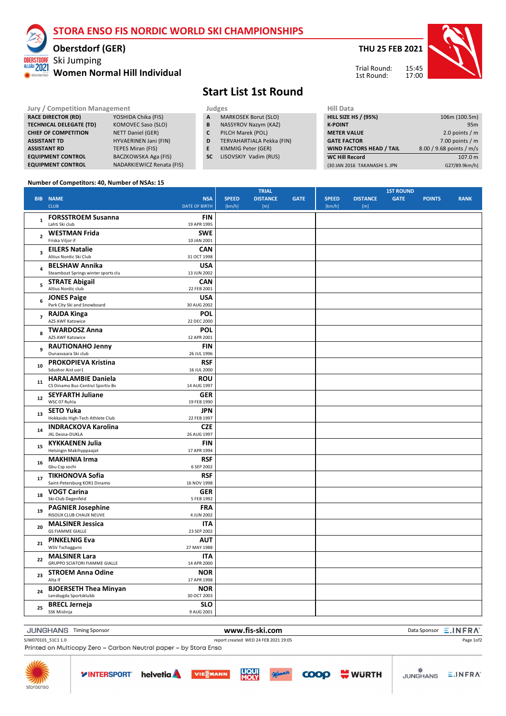### **STORA ENSO FIS NORDIC WORLD SKI CHAMPIONSHIPS**

### **Oberstdorf (GER)**

#### Ski Jumping ALLGÄU 2021 **Women Normal Hill Individual**

**THU 25 FEB 2021**



15:45 17:00 Trial Round: 1st Round:

# **Start List 1st Round**

- **Jury / Competition Management Judges Judges Hill Dat**<br> **RACE DIRECTOR (RD)** YOSHIDA Chika (FIS) **A** MARKOSEK Borut (SLO) **HILL SIZE A** MARKOSEK Borut (SLO)<br>**B** NASSYROV Nazym (KAZ)
	- **B** NASSYROV Nazym (KAZ)
	- **C** PILCH Marek (POL)
	- **D** TERVAHARTIALA Pekka (FIN)
	- **E** KIMMIG Peter (GER)
	- **SC** LISOVSKIY Vadim (RUS)

| нііі рата                       |                          |
|---------------------------------|--------------------------|
| <b>HILL SIZE HS / (95%)</b>     | 106m (100.5m)            |
| <b>K-POINT</b>                  | 95 <sub>m</sub>          |
| <b>METER VALUE</b>              | 2.0 points $/m$          |
| <b>GATE FACTOR</b>              | 7.00 points $/m$         |
| <b>WIND FACTORS HEAD / TAIL</b> | 8.00 / 9.68 points / m/s |
| <b>WC Hill Record</b>           | 107.0 m                  |
| (30 JAN 2016 TAKANASHI S. JPN   | G27/89.9km/h)            |

#### **Number of Competitors: 40, Number of NSAs: 15**

**RACE DIRECTOR (RD)** YOSHIDA Chika (FIS)<br> **TECHNICAL DELEGATE (TD)** KOMOVEC Saso (SLO)

**CHIEF OF COMPETITION** NETT Daniel (GER) **ASSISTANT TD** HYVAERINEN Jani (FIN) **ASSISTANT RD TEPES Miran (FIS) EQUIPMENT CONTROL** BACZKOWSKA Aga (FIS) **EQUIPMENT CONTROL** NADARKIEWICZ Renata (FIS)

**TECHNICAL DELEGATE (TD)** 

storae

|                         | <b>BIB NAME</b>                                               | <b>NSA</b>                | <b>SPEED</b> | <b>TRIAL</b><br><b>DISTANCE</b> | <b>GATE</b> | <b>SPEED</b> | <b>DISTANCE</b> | <b>1ST ROUND</b><br><b>GATE</b> | <b>POINTS</b> | <b>RANK</b> |
|-------------------------|---------------------------------------------------------------|---------------------------|--------------|---------------------------------|-------------|--------------|-----------------|---------------------------------|---------------|-------------|
|                         | <b>CLUB</b>                                                   | <b>DATE OF BIRTH</b>      | [km/h]       | [m]                             |             | [km/h]       | [m]             |                                 |               |             |
| $\mathbf 1$             | <b>FORSSTROEM Susanna</b><br>Lahti Ski club                   | <b>FIN</b><br>19 APR 1995 |              |                                 |             |              |                 |                                 |               |             |
| $\overline{\mathbf{c}}$ | <b>WESTMAN Frida</b><br>Friska Viljor if                      | <b>SWE</b><br>10 JAN 2001 |              |                                 |             |              |                 |                                 |               |             |
| $\overline{\mathbf{3}}$ | <b>EILERS Natalie</b><br>Altius Nordic Ski Club               | <b>CAN</b><br>31 OCT 1998 |              |                                 |             |              |                 |                                 |               |             |
| 4                       | <b>BELSHAW Annika</b><br>Steamboat Springs winter sports clu  | <b>USA</b><br>13 JUN 2002 |              |                                 |             |              |                 |                                 |               |             |
| 5                       | <b>STRATE Abigail</b><br>Altius Nordic club                   | <b>CAN</b><br>22 FEB 2001 |              |                                 |             |              |                 |                                 |               |             |
| 6                       | <b>JONES Paige</b><br>Park City Ski and Snowboard             | <b>USA</b><br>30 AUG 2002 |              |                                 |             |              |                 |                                 |               |             |
| $\overline{7}$          | <b>RAJDA Kinga</b><br>AZS AWF Katowice                        | <b>POL</b><br>22 DEC 2000 |              |                                 |             |              |                 |                                 |               |             |
| 8                       | <b>TWARDOSZ Anna</b><br>AZS AWF Katowice                      | <b>POL</b><br>12 APR 2001 |              |                                 |             |              |                 |                                 |               |             |
| 9                       | <b>RAUTIONAHO Jenny</b><br>Ounasvaara Ski club                | <b>FIN</b><br>26 JUL 1996 |              |                                 |             |              |                 |                                 |               |             |
| 10                      | PROKOPIEVA Kristina<br>Sdushor Aist uor1                      | <b>RSF</b><br>16 JUL 2000 |              |                                 |             |              |                 |                                 |               |             |
| 11                      | <b>HARALAMBIE Daniela</b><br>CS Dinamo Buc-Centrul Sportiv Bv | <b>ROU</b><br>14 AUG 1997 |              |                                 |             |              |                 |                                 |               |             |
| 12                      | <b>SEYFARTH Juliane</b><br>WSC 07 Ruhla                       | <b>GER</b><br>19 FEB 1990 |              |                                 |             |              |                 |                                 |               |             |
| 13                      | <b>SETO Yuka</b><br>Hokkaido High-Tech Athlete Club           | <b>JPN</b><br>22 FEB 1997 |              |                                 |             |              |                 |                                 |               |             |
| 14                      | <b>INDRACKOVA Karolina</b><br>JKL Desna-DUKLA                 | <b>CZE</b><br>26 AUG 1997 |              |                                 |             |              |                 |                                 |               |             |
| 15                      | <b>KYKKAENEN Julia</b><br>Helsingin Makihyppaajat             | <b>FIN</b><br>17 APR 1994 |              |                                 |             |              |                 |                                 |               |             |
| 16                      | <b>MAKHINIA Irma</b><br>Gbu Csp sochi                         | <b>RSF</b><br>6 SEP 2002  |              |                                 |             |              |                 |                                 |               |             |
| 17                      | <b>TIKHONOVA Sofia</b><br>Saint-Petersburg KOR1 Dinamo        | <b>RSF</b><br>16 NOV 1998 |              |                                 |             |              |                 |                                 |               |             |
| 18                      | <b>VOGT Carina</b><br>Ski-Club Degenfeld                      | <b>GER</b><br>5 FEB 1992  |              |                                 |             |              |                 |                                 |               |             |
| 19                      | <b>PAGNIER Josephine</b><br>RISOUX CLUB CHAUX NEUVE           | <b>FRA</b><br>4 JUN 2002  |              |                                 |             |              |                 |                                 |               |             |
| 20                      | <b>MALSINER Jessica</b><br><b>GS FIAMME GIALLE</b>            | <b>ITA</b><br>23 SEP 2002 |              |                                 |             |              |                 |                                 |               |             |
| 21                      | <b>PINKELNIG Eva</b><br><b>WSV Tschagguns</b>                 | AUT<br>27 MAY 1988        |              |                                 |             |              |                 |                                 |               |             |
| 22                      | <b>MALSINER Lara</b><br><b>GRUPPO SCIATORI FIAMME GIALLE</b>  | <b>ITA</b><br>14 APR 2000 |              |                                 |             |              |                 |                                 |               |             |
| 23                      | <b>STROEM Anna Odine</b><br>Alta If                           | <b>NOR</b><br>17 APR 1998 |              |                                 |             |              |                 |                                 |               |             |
| 24                      | <b>BJOERSETH Thea Minyan</b><br>Lensbygda Sportsklubb         | <b>NOR</b><br>30 OCT 2003 |              |                                 |             |              |                 |                                 |               |             |
| 25                      | <b>BRECL Jerneja</b><br>SSK Mislinja                          | <b>SLO</b><br>9 AUG 2001  |              |                                 |             |              |                 |                                 |               |             |

**WWW.fis-ski.com WWW.fis-ski.com Data Sponsor E.INFRA** SJW070101\_51C1 1.0 report created WED 24 FEB 2021 19:05<br>Printed on Multicopy Zero – Carbon Neutral paper – by Stora Enso

**VIESMANN** 

**LIQUI** 



**YINTERSPORT** 

**helvetia** 

**WURTH** 

**COOO** 

Page 1of2